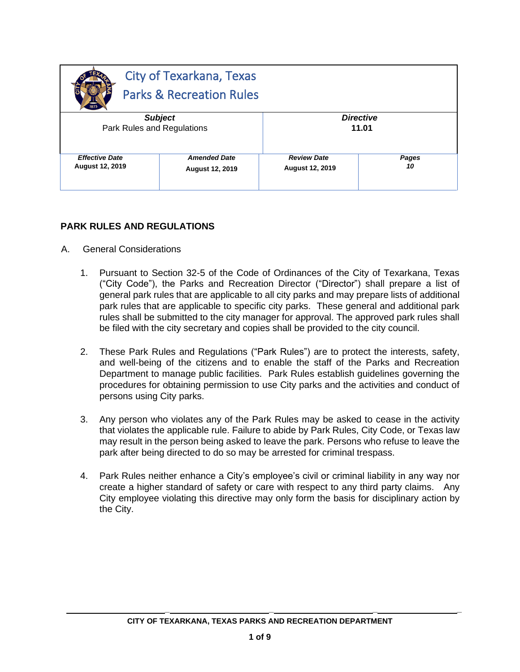|                            | <b>City of Texarkana, Texas</b><br><b>Parks &amp; Recreation Rules</b> |                        |       |
|----------------------------|------------------------------------------------------------------------|------------------------|-------|
| <b>Subject</b>             |                                                                        | <b>Directive</b>       |       |
| Park Rules and Regulations |                                                                        | 11.01                  |       |
| <b>Effective Date</b>      | <b>Amended Date</b>                                                    | <b>Review Date</b>     | Pages |
| <b>August 12, 2019</b>     | <b>August 12, 2019</b>                                                 | <b>August 12, 2019</b> | 10    |

### **PARK RULES AND REGULATIONS**

- A. General Considerations
	- 1. Pursuant to Section 32-5 of the Code of Ordinances of the City of Texarkana, Texas ("City Code"), the Parks and Recreation Director ("Director") shall prepare a list of general park rules that are applicable to all city parks and may prepare lists of additional park rules that are applicable to specific city parks. These general and additional park rules shall be submitted to the city manager for approval. The approved park rules shall be filed with the city secretary and copies shall be provided to the city council.
	- 2. These Park Rules and Regulations ("Park Rules") are to protect the interests, safety, and well-being of the citizens and to enable the staff of the Parks and Recreation Department to manage public facilities. Park Rules establish guidelines governing the procedures for obtaining permission to use City parks and the activities and conduct of persons using City parks.
	- 3. Any person who violates any of the Park Rules may be asked to cease in the activity that violates the applicable rule. Failure to abide by Park Rules, City Code, or Texas law may result in the person being asked to leave the park. Persons who refuse to leave the park after being directed to do so may be arrested for criminal trespass.
	- 4. Park Rules neither enhance a City's employee's civil or criminal liability in any way nor create a higher standard of safety or care with respect to any third party claims. Any City employee violating this directive may only form the basis for disciplinary action by the City.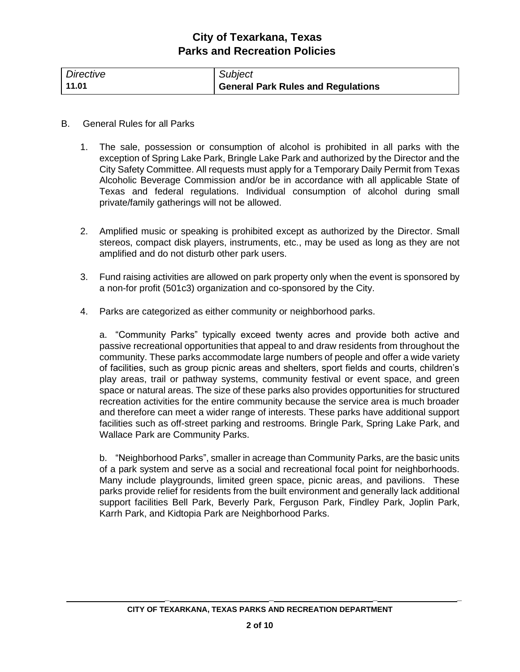| Directive | Subject                            |
|-----------|------------------------------------|
| 11.01     | General Park Rules and Regulations |

- B. General Rules for all Parks
	- 1. The sale, possession or consumption of alcohol is prohibited in all parks with the exception of Spring Lake Park, Bringle Lake Park and authorized by the Director and the City Safety Committee. All requests must apply for a Temporary Daily Permit from Texas Alcoholic Beverage Commission and/or be in accordance with all applicable State of Texas and federal regulations. Individual consumption of alcohol during small private/family gatherings will not be allowed.
	- 2. Amplified music or speaking is prohibited except as authorized by the Director. Small stereos, compact disk players, instruments, etc., may be used as long as they are not amplified and do not disturb other park users.
	- 3. Fund raising activities are allowed on park property only when the event is sponsored by a non-for profit (501c3) organization and co-sponsored by the City.
	- 4. Parks are categorized as either community or neighborhood parks.

a. "Community Parks" typically exceed twenty acres and provide both active and passive recreational opportunities that appeal to and draw residents from throughout the community. These parks accommodate large numbers of people and offer a wide variety of facilities, such as group picnic areas and shelters, sport fields and courts, children's play areas, trail or pathway systems, community festival or event space, and green space or natural areas. The size of these parks also provides opportunities for structured recreation activities for the entire community because the service area is much broader and therefore can meet a wider range of interests. These parks have additional support facilities such as off-street parking and restrooms. Bringle Park, Spring Lake Park, and Wallace Park are Community Parks.

b. "Neighborhood Parks", smaller in acreage than Community Parks, are the basic units of a park system and serve as a social and recreational focal point for neighborhoods. Many include playgrounds, limited green space, picnic areas, and pavilions. These parks provide relief for residents from the built environment and generally lack additional support facilities Bell Park, Beverly Park, Ferguson Park, Findley Park, Joplin Park, Karrh Park, and Kidtopia Park are Neighborhood Parks.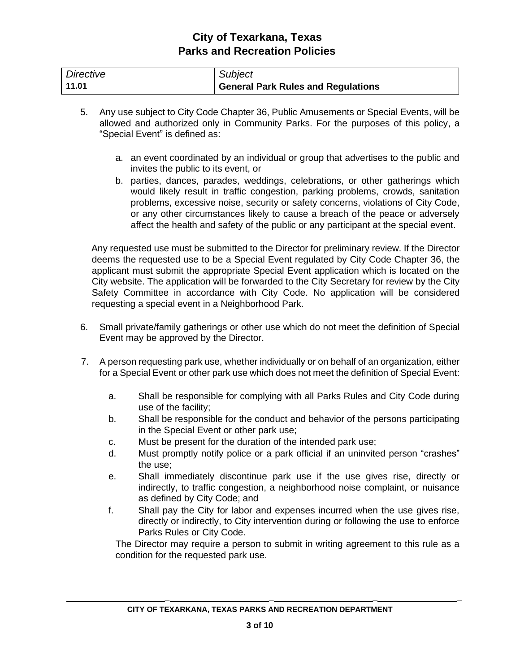| Directive | Subject                            |
|-----------|------------------------------------|
| 11.01     | General Park Rules and Regulations |

- 5. Any use subject to City Code Chapter 36, Public Amusements or Special Events, will be allowed and authorized only in Community Parks. For the purposes of this policy, a "Special Event" is defined as:
	- a. an event coordinated by an individual or group that advertises to the public and invites the public to its event, or
	- b. parties, dances, parades, weddings, celebrations, or other gatherings which would likely result in traffic congestion, parking problems, crowds, sanitation problems, excessive noise, security or safety concerns, violations of City Code, or any other circumstances likely to cause a breach of the peace or adversely affect the health and safety of the public or any participant at the special event.

Any requested use must be submitted to the Director for preliminary review. If the Director deems the requested use to be a Special Event regulated by City Code Chapter 36, the applicant must submit the appropriate Special Event application which is located on the City website. The application will be forwarded to the City Secretary for review by the City Safety Committee in accordance with City Code. No application will be considered requesting a special event in a Neighborhood Park.

- 6. Small private/family gatherings or other use which do not meet the definition of Special Event may be approved by the Director.
- 7. A person requesting park use, whether individually or on behalf of an organization, either for a Special Event or other park use which does not meet the definition of Special Event:
	- a. Shall be responsible for complying with all Parks Rules and City Code during use of the facility;
	- b. Shall be responsible for the conduct and behavior of the persons participating in the Special Event or other park use;
	- c. Must be present for the duration of the intended park use;
	- d. Must promptly notify police or a park official if an uninvited person "crashes" the use;
	- e. Shall immediately discontinue park use if the use gives rise, directly or indirectly, to traffic congestion, a neighborhood noise complaint, or nuisance as defined by City Code; and
	- f. Shall pay the City for labor and expenses incurred when the use gives rise, directly or indirectly, to City intervention during or following the use to enforce Parks Rules or City Code.

The Director may require a person to submit in writing agreement to this rule as a condition for the requested park use.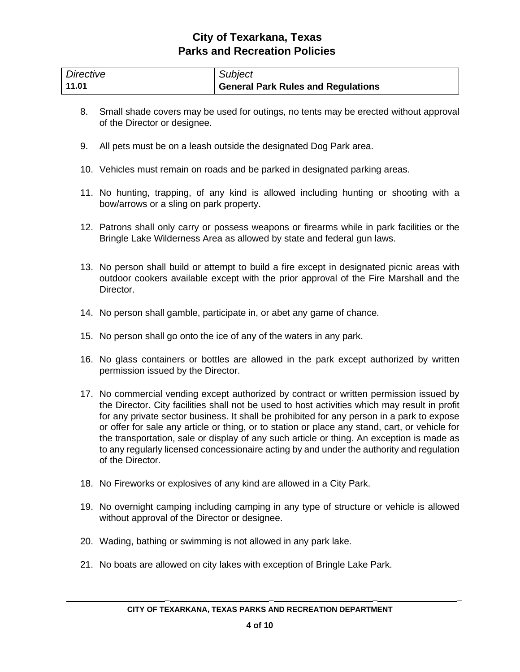| Directive | Subject                                   |
|-----------|-------------------------------------------|
| 11.01     | <b>General Park Rules and Regulations</b> |

- 8. Small shade covers may be used for outings, no tents may be erected without approval of the Director or designee.
- 9. All pets must be on a leash outside the designated Dog Park area.
- 10. Vehicles must remain on roads and be parked in designated parking areas.
- 11. No hunting, trapping, of any kind is allowed including hunting or shooting with a bow/arrows or a sling on park property.
- 12. Patrons shall only carry or possess weapons or firearms while in park facilities or the Bringle Lake Wilderness Area as allowed by state and federal gun laws.
- 13. No person shall build or attempt to build a fire except in designated picnic areas with outdoor cookers available except with the prior approval of the Fire Marshall and the Director.
- 14. No person shall gamble, participate in, or abet any game of chance.
- 15. No person shall go onto the ice of any of the waters in any park.
- 16. No glass containers or bottles are allowed in the park except authorized by written permission issued by the Director.
- 17. No commercial vending except authorized by contract or written permission issued by the Director. City facilities shall not be used to host activities which may result in profit for any private sector business. It shall be prohibited for any person in a park to expose or offer for sale any article or thing, or to station or place any stand, cart, or vehicle for the transportation, sale or display of any such article or thing. An exception is made as to any regularly licensed concessionaire acting by and under the authority and regulation of the Director.
- 18. No Fireworks or explosives of any kind are allowed in a City Park.
- 19. No overnight camping including camping in any type of structure or vehicle is allowed without approval of the Director or designee.
- 20. Wading, bathing or swimming is not allowed in any park lake.
- 21. No boats are allowed on city lakes with exception of Bringle Lake Park.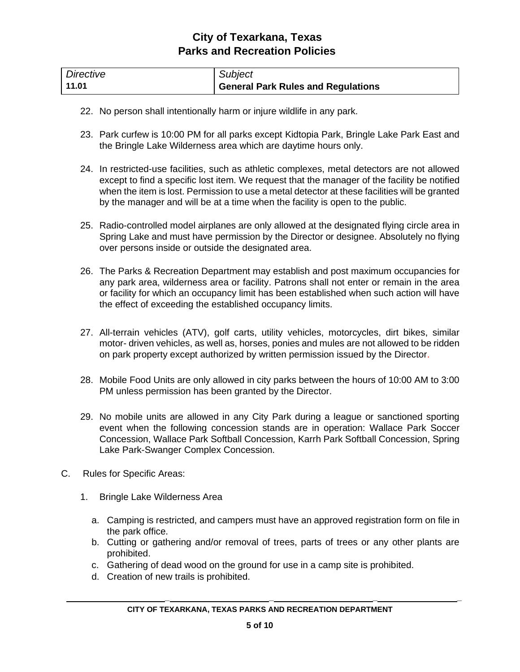| Directive | Subject                            |
|-----------|------------------------------------|
| 11.01     | General Park Rules and Regulations |

- 22. No person shall intentionally harm or injure wildlife in any park.
- 23. Park curfew is 10:00 PM for all parks except Kidtopia Park, Bringle Lake Park East and the Bringle Lake Wilderness area which are daytime hours only.
- 24. In restricted-use facilities, such as athletic complexes, metal detectors are not allowed except to find a specific lost item. We request that the manager of the facility be notified when the item is lost. Permission to use a metal detector at these facilities will be granted by the manager and will be at a time when the facility is open to the public.
- 25. Radio-controlled model airplanes are only allowed at the designated flying circle area in Spring Lake and must have permission by the Director or designee. Absolutely no flying over persons inside or outside the designated area.
- 26. The Parks & Recreation Department may establish and post maximum occupancies for any park area, wilderness area or facility. Patrons shall not enter or remain in the area or facility for which an occupancy limit has been established when such action will have the effect of exceeding the established occupancy limits.
- 27. All-terrain vehicles (ATV), golf carts, utility vehicles, motorcycles, dirt bikes, similar motor- driven vehicles, as well as, horses, ponies and mules are not allowed to be ridden on park property except authorized by written permission issued by the Director.
- 28. Mobile Food Units are only allowed in city parks between the hours of 10:00 AM to 3:00 PM unless permission has been granted by the Director.
- 29. No mobile units are allowed in any City Park during a league or sanctioned sporting event when the following concession stands are in operation: Wallace Park Soccer Concession, Wallace Park Softball Concession, Karrh Park Softball Concession, Spring Lake Park-Swanger Complex Concession.
- C. Rules for Specific Areas:
	- 1. Bringle Lake Wilderness Area
		- a. Camping is restricted, and campers must have an approved registration form on file in the park office.
		- b. Cutting or gathering and/or removal of trees, parts of trees or any other plants are prohibited.
		- c. Gathering of dead wood on the ground for use in a camp site is prohibited.
		- d. Creation of new trails is prohibited.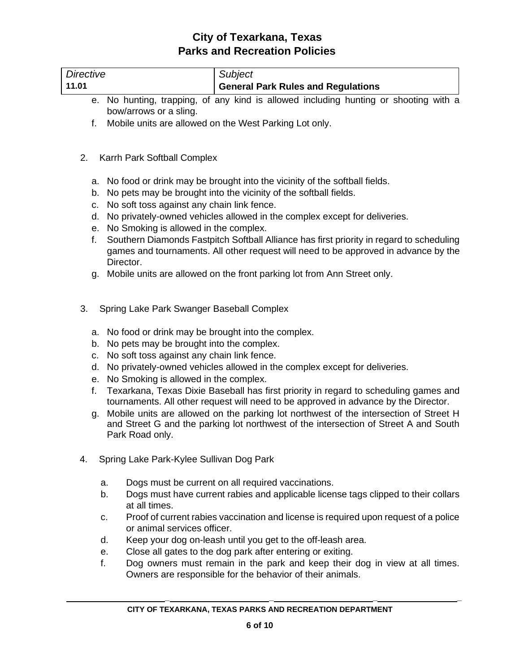| <b>Directive</b>                             | Subject                                                                                                                                                                                                                                                                                                                                                                                                                                                                                                                                                                                                                                                                                           |  |  |
|----------------------------------------------|---------------------------------------------------------------------------------------------------------------------------------------------------------------------------------------------------------------------------------------------------------------------------------------------------------------------------------------------------------------------------------------------------------------------------------------------------------------------------------------------------------------------------------------------------------------------------------------------------------------------------------------------------------------------------------------------------|--|--|
| 11.01                                        | <b>General Park Rules and Regulations</b>                                                                                                                                                                                                                                                                                                                                                                                                                                                                                                                                                                                                                                                         |  |  |
| е.                                           | No hunting, trapping, of any kind is allowed including hunting or shooting with a                                                                                                                                                                                                                                                                                                                                                                                                                                                                                                                                                                                                                 |  |  |
|                                              | bow/arrows or a sling.                                                                                                                                                                                                                                                                                                                                                                                                                                                                                                                                                                                                                                                                            |  |  |
| f.                                           | Mobile units are allowed on the West Parking Lot only.                                                                                                                                                                                                                                                                                                                                                                                                                                                                                                                                                                                                                                            |  |  |
|                                              |                                                                                                                                                                                                                                                                                                                                                                                                                                                                                                                                                                                                                                                                                                   |  |  |
| 2.                                           | Karrh Park Softball Complex                                                                                                                                                                                                                                                                                                                                                                                                                                                                                                                                                                                                                                                                       |  |  |
| а.                                           | No food or drink may be brought into the vicinity of the softball fields.                                                                                                                                                                                                                                                                                                                                                                                                                                                                                                                                                                                                                         |  |  |
| b.                                           | No pets may be brought into the vicinity of the softball fields.                                                                                                                                                                                                                                                                                                                                                                                                                                                                                                                                                                                                                                  |  |  |
| c.                                           | No soft toss against any chain link fence.                                                                                                                                                                                                                                                                                                                                                                                                                                                                                                                                                                                                                                                        |  |  |
| d.                                           | No privately-owned vehicles allowed in the complex except for deliveries.                                                                                                                                                                                                                                                                                                                                                                                                                                                                                                                                                                                                                         |  |  |
| е.                                           | No Smoking is allowed in the complex.                                                                                                                                                                                                                                                                                                                                                                                                                                                                                                                                                                                                                                                             |  |  |
| f.                                           | Southern Diamonds Fastpitch Softball Alliance has first priority in regard to scheduling                                                                                                                                                                                                                                                                                                                                                                                                                                                                                                                                                                                                          |  |  |
|                                              | games and tournaments. All other request will need to be approved in advance by the                                                                                                                                                                                                                                                                                                                                                                                                                                                                                                                                                                                                               |  |  |
|                                              | Director.                                                                                                                                                                                                                                                                                                                                                                                                                                                                                                                                                                                                                                                                                         |  |  |
| g.                                           | Mobile units are allowed on the front parking lot from Ann Street only.                                                                                                                                                                                                                                                                                                                                                                                                                                                                                                                                                                                                                           |  |  |
| 3.<br>а.<br>b.<br>c.<br>d.<br>е.<br>f.<br>g. | Spring Lake Park Swanger Baseball Complex<br>No food or drink may be brought into the complex.<br>No pets may be brought into the complex.<br>No soft toss against any chain link fence.<br>No privately-owned vehicles allowed in the complex except for deliveries.<br>No Smoking is allowed in the complex.<br>Texarkana, Texas Dixie Baseball has first priority in regard to scheduling games and<br>tournaments. All other request will need to be approved in advance by the Director.<br>Mobile units are allowed on the parking lot northwest of the intersection of Street H<br>and Street G and the parking lot northwest of the intersection of Street A and South<br>Park Road only. |  |  |
| 4.                                           | Spring Lake Park-Kylee Sullivan Dog Park                                                                                                                                                                                                                                                                                                                                                                                                                                                                                                                                                                                                                                                          |  |  |
|                                              | Dogs must be current on all required vaccinations.<br>a.                                                                                                                                                                                                                                                                                                                                                                                                                                                                                                                                                                                                                                          |  |  |
|                                              | Dogs must have current rabies and applicable license tags clipped to their collars<br>b.                                                                                                                                                                                                                                                                                                                                                                                                                                                                                                                                                                                                          |  |  |
|                                              | at all times.                                                                                                                                                                                                                                                                                                                                                                                                                                                                                                                                                                                                                                                                                     |  |  |
|                                              | Proof of current rabies vaccination and license is required upon request of a police<br>c.                                                                                                                                                                                                                                                                                                                                                                                                                                                                                                                                                                                                        |  |  |
|                                              | or animal services officer.                                                                                                                                                                                                                                                                                                                                                                                                                                                                                                                                                                                                                                                                       |  |  |
|                                              | Keep your dog on-leash until you get to the off-leash area.<br>d.                                                                                                                                                                                                                                                                                                                                                                                                                                                                                                                                                                                                                                 |  |  |
|                                              | Close all gates to the dog park after entering or exiting.<br>е.                                                                                                                                                                                                                                                                                                                                                                                                                                                                                                                                                                                                                                  |  |  |
|                                              | f.<br>Dog owners must remain in the park and keep their dog in view at all times.                                                                                                                                                                                                                                                                                                                                                                                                                                                                                                                                                                                                                 |  |  |
|                                              | Owners are responsible for the behavior of their animals.                                                                                                                                                                                                                                                                                                                                                                                                                                                                                                                                                                                                                                         |  |  |
|                                              |                                                                                                                                                                                                                                                                                                                                                                                                                                                                                                                                                                                                                                                                                                   |  |  |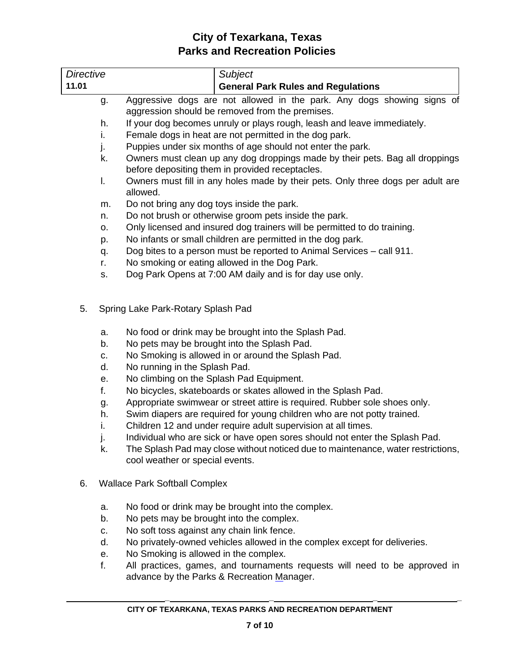| <b>Directive</b>                                                     | Subject                                                                                                                                                                                                                                                                                                                                                                                                                                                                                                                                                                                                                                                                                                                                                                       |  |  |  |
|----------------------------------------------------------------------|-------------------------------------------------------------------------------------------------------------------------------------------------------------------------------------------------------------------------------------------------------------------------------------------------------------------------------------------------------------------------------------------------------------------------------------------------------------------------------------------------------------------------------------------------------------------------------------------------------------------------------------------------------------------------------------------------------------------------------------------------------------------------------|--|--|--|
| 11.01                                                                | <b>General Park Rules and Regulations</b>                                                                                                                                                                                                                                                                                                                                                                                                                                                                                                                                                                                                                                                                                                                                     |  |  |  |
| g.                                                                   | Aggressive dogs are not allowed in the park. Any dogs showing signs of                                                                                                                                                                                                                                                                                                                                                                                                                                                                                                                                                                                                                                                                                                        |  |  |  |
|                                                                      | aggression should be removed from the premises.                                                                                                                                                                                                                                                                                                                                                                                                                                                                                                                                                                                                                                                                                                                               |  |  |  |
| h.                                                                   | If your dog becomes unruly or plays rough, leash and leave immediately.                                                                                                                                                                                                                                                                                                                                                                                                                                                                                                                                                                                                                                                                                                       |  |  |  |
| i.                                                                   | Female dogs in heat are not permitted in the dog park.                                                                                                                                                                                                                                                                                                                                                                                                                                                                                                                                                                                                                                                                                                                        |  |  |  |
| j.                                                                   | Puppies under six months of age should not enter the park.                                                                                                                                                                                                                                                                                                                                                                                                                                                                                                                                                                                                                                                                                                                    |  |  |  |
| k.                                                                   | Owners must clean up any dog droppings made by their pets. Bag all droppings<br>before depositing them in provided receptacles.                                                                                                                                                                                                                                                                                                                                                                                                                                                                                                                                                                                                                                               |  |  |  |
| I.                                                                   | Owners must fill in any holes made by their pets. Only three dogs per adult are<br>allowed.                                                                                                                                                                                                                                                                                                                                                                                                                                                                                                                                                                                                                                                                                   |  |  |  |
| m.                                                                   | Do not bring any dog toys inside the park.                                                                                                                                                                                                                                                                                                                                                                                                                                                                                                                                                                                                                                                                                                                                    |  |  |  |
| n.                                                                   | Do not brush or otherwise groom pets inside the park.                                                                                                                                                                                                                                                                                                                                                                                                                                                                                                                                                                                                                                                                                                                         |  |  |  |
| о.                                                                   | Only licensed and insured dog trainers will be permitted to do training.                                                                                                                                                                                                                                                                                                                                                                                                                                                                                                                                                                                                                                                                                                      |  |  |  |
| p.                                                                   | No infants or small children are permitted in the dog park.                                                                                                                                                                                                                                                                                                                                                                                                                                                                                                                                                                                                                                                                                                                   |  |  |  |
| q.                                                                   | Dog bites to a person must be reported to Animal Services - call 911.                                                                                                                                                                                                                                                                                                                                                                                                                                                                                                                                                                                                                                                                                                         |  |  |  |
| r.                                                                   | No smoking or eating allowed in the Dog Park.                                                                                                                                                                                                                                                                                                                                                                                                                                                                                                                                                                                                                                                                                                                                 |  |  |  |
| s.                                                                   | Dog Park Opens at 7:00 AM daily and is for day use only.                                                                                                                                                                                                                                                                                                                                                                                                                                                                                                                                                                                                                                                                                                                      |  |  |  |
| 5.<br>a.<br>b.<br>c.<br>d.<br>е.<br>f.<br>g.<br>h.<br>i.<br>j.<br>k. | Spring Lake Park-Rotary Splash Pad<br>No food or drink may be brought into the Splash Pad.<br>No pets may be brought into the Splash Pad.<br>No Smoking is allowed in or around the Splash Pad.<br>No running in the Splash Pad.<br>No climbing on the Splash Pad Equipment.<br>No bicycles, skateboards or skates allowed in the Splash Pad.<br>Appropriate swimwear or street attire is required. Rubber sole shoes only.<br>Swim diapers are required for young children who are not potty trained.<br>Children 12 and under require adult supervision at all times.<br>Individual who are sick or have open sores should not enter the Splash Pad.<br>The Splash Pad may close without noticed due to maintenance, water restrictions,<br>cool weather or special events. |  |  |  |
| 6.                                                                   | <b>Wallace Park Softball Complex</b>                                                                                                                                                                                                                                                                                                                                                                                                                                                                                                                                                                                                                                                                                                                                          |  |  |  |
| a.                                                                   | No food or drink may be brought into the complex.                                                                                                                                                                                                                                                                                                                                                                                                                                                                                                                                                                                                                                                                                                                             |  |  |  |
| b.                                                                   | No pets may be brought into the complex.                                                                                                                                                                                                                                                                                                                                                                                                                                                                                                                                                                                                                                                                                                                                      |  |  |  |
| c.                                                                   | No soft toss against any chain link fence.                                                                                                                                                                                                                                                                                                                                                                                                                                                                                                                                                                                                                                                                                                                                    |  |  |  |
| d.                                                                   | No privately-owned vehicles allowed in the complex except for deliveries.                                                                                                                                                                                                                                                                                                                                                                                                                                                                                                                                                                                                                                                                                                     |  |  |  |
| е.                                                                   | No Smoking is allowed in the complex.                                                                                                                                                                                                                                                                                                                                                                                                                                                                                                                                                                                                                                                                                                                                         |  |  |  |
| f.                                                                   | All practices, games, and tournaments requests will need to be approved in<br>advance by the Parks & Recreation Manager.                                                                                                                                                                                                                                                                                                                                                                                                                                                                                                                                                                                                                                                      |  |  |  |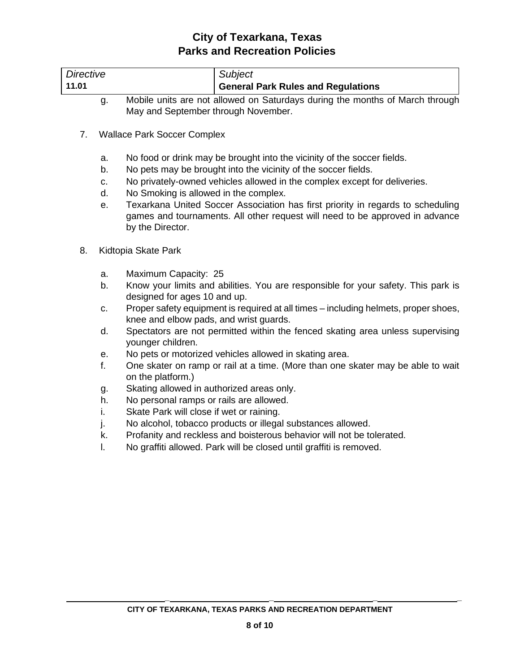| Directive<br>Subject<br><b>General Park Rules and Regulations</b><br>11.01 |  |
|----------------------------------------------------------------------------|--|
|                                                                            |  |
|                                                                            |  |

- g. Mobile units are not allowed on Saturdays during the months of March through May and September through November.
- 7. Wallace Park Soccer Complex
	- a. No food or drink may be brought into the vicinity of the soccer fields.
	- b. No pets may be brought into the vicinity of the soccer fields.
	- c. No privately-owned vehicles allowed in the complex except for deliveries.
	- d. No Smoking is allowed in the complex.
	- e. Texarkana United Soccer Association has first priority in regards to scheduling games and tournaments. All other request will need to be approved in advance by the Director.
- 8. Kidtopia Skate Park
	- a. Maximum Capacity: 25
	- b. Know your limits and abilities. You are responsible for your safety. This park is designed for ages 10 and up.
	- c. Proper safety equipment is required at all times including helmets, proper shoes, knee and elbow pads, and wrist guards.
	- d. Spectators are not permitted within the fenced skating area unless supervising younger children.
	- e. No pets or motorized vehicles allowed in skating area.
	- f. One skater on ramp or rail at a time. (More than one skater may be able to wait on the platform.)
	- g. Skating allowed in authorized areas only.
	- h. No personal ramps or rails are allowed.
	- i. Skate Park will close if wet or raining.
	- j. No alcohol, tobacco products or illegal substances allowed.
	- k. Profanity and reckless and boisterous behavior will not be tolerated.
	- l. No graffiti allowed. Park will be closed until graffiti is removed.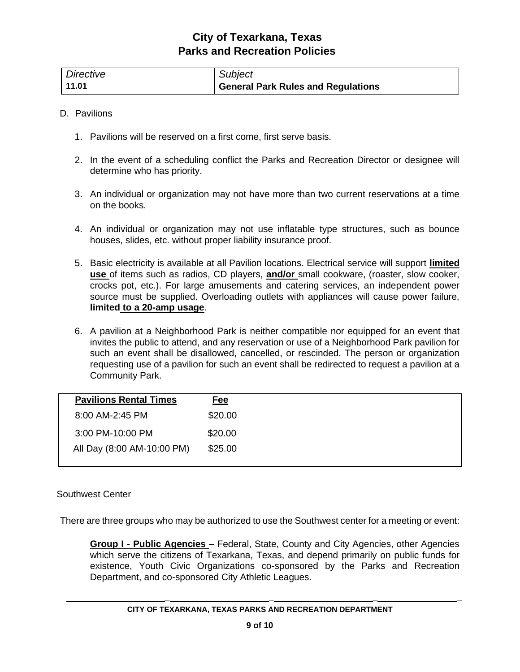| Directive | Subject                                   |
|-----------|-------------------------------------------|
| 11.01     | <b>General Park Rules and Regulations</b> |

#### D. Pavilions

- 1. Pavilions will be reserved on a first come, first serve basis.
- 2. In the event of a scheduling conflict the Parks and Recreation Director or designee will determine who has priority.
- 3. An individual or organization may not have more than two current reservations at a time on the books.
- 4. An individual or organization may not use inflatable type structures, such as bounce houses, slides, etc. without proper liability insurance proof.
- 5. Basic electricity is available at all Pavilion locations. Electrical service will support **limited use** of items such as radios, CD players, **and/or** small cookware, (roaster, slow cooker, crocks pot, etc.). For large amusements and catering services, an independent power source must be supplied. Overloading outlets with appliances will cause power failure, **limited to a 20-amp usage**.
- 6. A pavilion at a Neighborhood Park is neither compatible nor equipped for an event that invites the public to attend, and any reservation or use of a Neighborhood Park pavilion for such an event shall be disallowed, cancelled, or rescinded. The person or organization requesting use of a pavilion for such an event shall be redirected to request a pavilion at a Community Park.

#### Southwest Center

There are three groups who may be authorized to use the Southwest center for a meeting or event:

**Group I - Public Agencies** – Federal, State, County and City Agencies, other Agencies which serve the citizens of Texarkana, Texas, and depend primarily on public funds for existence, Youth Civic Organizations co-sponsored by the Parks and Recreation Department, and co-sponsored City Athletic Leagues.